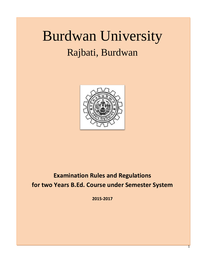# Burdwan University Rajbati, Burdwan



# **Examination Rules and Regulations for two Years B.Ed. Course under Semester System**

**2015-2017**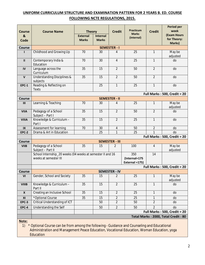#### **UNIFORM CURRICULUM STRUCTURE AND EXAMINATION PATTERN FOR 2 YEARS B. ED. COURSE FOLLOWING NCTE REGULATIONS, 2015.**

| <b>Course</b>                 | <b>Course Name</b>                                                                  | <b>Theory</b>                   |                                 | <b>Credit</b>            | <b>Practicum</b>                       | <b>Credit</b>  | Period per<br>week                  |
|-------------------------------|-------------------------------------------------------------------------------------|---------------------------------|---------------------------------|--------------------------|----------------------------------------|----------------|-------------------------------------|
| &<br>Code                     |                                                                                     | <b>External</b><br><b>Marks</b> | <b>Internal</b><br><b>Marks</b> |                          | <b>Marks</b><br>(Internal)             |                | (Exam Hours<br>for Theory:          |
|                               |                                                                                     |                                 |                                 |                          |                                        |                | Marks)                              |
| <b>Course</b><br>$\mathbf{I}$ | Childhood and Growing Up                                                            | 70                              | 30                              | <b>SEMESTER - I</b><br>4 | 25                                     | $\mathbf{1}$   | May be                              |
|                               |                                                                                     |                                 |                                 |                          |                                        |                | adjusted                            |
| $\mathbf{II}$                 | Contemporary India &<br>Education                                                   | 70                              | 30                              | $\overline{4}$           | 25                                     | $\mathbf{1}$   | do                                  |
| IV                            | Language across the<br>Curriculum                                                   | 35                              | 15                              | $\overline{2}$           | 50                                     | $\overline{2}$ | do                                  |
| $\mathsf{V}$                  | <b>Understanding Disciplines &amp;</b><br>subjects                                  | 35                              | 15                              | $\overline{2}$           | 50                                     | $\overline{2}$ | do                                  |
| <b>EPC-1</b>                  | Reading & Reflecting on<br><b>Texts</b>                                             |                                 | 25                              | $\mathbf{1}$             | 25                                     | $\mathbf{1}$   | do                                  |
|                               |                                                                                     |                                 |                                 |                          |                                        |                | <b>Full Marks: 500, Credit = 20</b> |
| <b>Course</b>                 |                                                                                     |                                 |                                 | <b>SEMESTER - II</b>     |                                        |                |                                     |
| III                           | Learning & Teaching                                                                 | 70                              | 30                              | 4                        | 25                                     | $\mathbf{1}$   | May be<br>adjusted                  |
| <b>VIIA</b>                   | Pedagogy of a School<br>Subject - Part I                                            | 35                              | 15                              | $\overline{2}$           | 50                                     | $\overline{2}$ | do                                  |
| <b>VIIIA</b>                  | Knowledge & Curriculum -<br>Part I                                                  | 35                              | 15                              | $\overline{2}$           | 25                                     | $\mathbf{1}$   | do                                  |
| IX                            | Assessment for learning                                                             | 70                              | 30                              | $\overline{4}$           | 50                                     | $\overline{2}$ | do                                  |
| <b>EPC-2</b>                  | Drama & Art in Education                                                            |                                 | 25                              | 1                        | 25                                     | $\mathbf{1}$   | do                                  |
|                               |                                                                                     |                                 |                                 |                          |                                        |                | <b>Full Marks: 500, Credit = 20</b> |
| <b>Course</b>                 |                                                                                     |                                 |                                 | <b>SEMESTER - III</b>    |                                        |                |                                     |
| <b>VIIB</b>                   | Pedagogy of a School<br>Subject - Part II                                           | 35                              | 15                              | 2                        | 100                                    | $\overline{4}$ | May be<br>adjusted                  |
|                               | School Internship_20 weeks (04 weeks at semester II and 16<br>weeks at semester III |                                 |                                 |                          | 350<br>(Internal=175<br>External =175) | 14             |                                     |
|                               |                                                                                     |                                 |                                 |                          |                                        |                | Full Marks: 500, Credit = 20        |
| <b>Course</b>                 |                                                                                     |                                 |                                 | <b>SEMESTER - IV</b>     |                                        |                |                                     |
| VI                            | Gender, School and Society                                                          | 35                              | 15                              | $\overline{2}$           | 25                                     | 1              | May be<br>adjusted                  |
| <b>VIIIB</b>                  | Knowledge & Curriculum -<br>Part II                                                 | 35                              | 15                              | $\overline{2}$           | 25                                     | $\mathbf{1}$   | do                                  |
| X                             | Creating an Inclusive School                                                        | 35                              | 15                              | $\overline{2}$           | 25                                     | $\mathbf{1}$   | do                                  |
| XI                            | *Optional Course                                                                    | 35                              | 15                              | $\overline{2}$           | 25                                     | $\mathbf{1}$   | do                                  |
| <b>EPC-3</b>                  | Critical Understanding of ICT                                                       |                                 | 50                              | $\overline{2}$           | 50                                     | $\overline{2}$ | do                                  |
| <b>EPC-4</b>                  | Understanding the Self                                                              |                                 | 50                              | $\overline{2}$           | 50                                     | $\overline{2}$ | do                                  |
|                               |                                                                                     |                                 |                                 |                          |                                        |                | <b>Full Marks: 500, Credit = 20</b> |
|                               |                                                                                     |                                 |                                 |                          |                                        |                | Total Marks: 2000, Total Credit: 80 |
| Note:                         |                                                                                     |                                 |                                 |                          |                                        |                |                                     |

1) \* Optional Course can be from among the following - Guidance and Counseling and Educational Administration and Management Peace Education, Vocational Education, Woman Education, yoga **Education**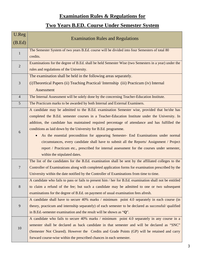# **Examination Rules & Regulations for**

# **Two Years B.ED. Course Under Semester System**

| U.Reg           | <b>Examination Rules and Regulations</b>                                                                |
|-----------------|---------------------------------------------------------------------------------------------------------|
| (B.Ed)          |                                                                                                         |
| $\mathbf{1}$    | The Semester System of two years B.Ed. course will be divided into four Semesters of total 80           |
|                 | credits.                                                                                                |
| $\overline{2}$  | Examinations for the degree of B.Ed. shall be held Semester Wise (two Semesters in a year) under the    |
|                 | rules and regulations of the University.                                                                |
|                 | The examination shall be held in the following areas separately.                                        |
| 3               | (i) Theoretical Papers (ii) Teaching Practical/Internship (iii) Practicum (iv) Internal                 |
|                 | Assessment                                                                                              |
| $\overline{4}$  | The Internal Assessment will be solely done by the concerning Teacher-Education Institute.              |
| $5\overline{)}$ | The Practicum marks to be awarded by both Internal and External Examiners.                              |
|                 | A candidate may be admitted to the B.Ed. examination Semester wise, provided that he/she has            |
|                 | completed the B.Ed. semester courses in a Teacher-Education Institute under the University. In          |
|                 | addition, the candidate has maintained required percentage of attendance and has fulfilled the          |
| 6               | conditions as laid down by the University for B.Ed. programme.                                          |
|                 | As the essential precondition for appearing Semester- End Examinations under normal<br>$\bullet$        |
|                 | circumstances, every candidate shall have to submit all the Reports/ Assignment / Project               |
|                 | report / Practicum etc., prescribed for internal assessment for the courses under semester,             |
|                 | within the stipulated dates.                                                                            |
|                 | The list of the candidates for the B.Ed. examination shall be sent by the affiliated colleges to the    |
| $\overline{7}$  | Controller of Examinations along with completed application forms for examination prescribed by the     |
|                 | University within the date notified by the Controller of Examinations from time to time.                |
|                 | A candidate who fails to pass or fails to present him / her for B.Ed. examination shall not be entitled |
| 8               | to claim a refund of the fee; but such a candidate may be admitted to one or two subsequent             |
|                 | examinations for the degree of B.Ed. on payment of usual examination fees afresh.                       |
|                 | A candidate shall have to secure 40% marks / minimum point 4.0 separately in each course (in            |
| 9               | theory, practicum and internship separately) of each semester to be declared as successful/ qualified   |
|                 | in B.Ed.-semester examination and the result will be shown as " $Q$ ".                                  |
|                 | A candidate who fails to secure 40% marks / minimum point 4.0 separately in any course in a             |
| 10              | semester shall be declared as back candidate in that semester and will be declared as "SNC"             |
|                 | (Semester Not Cleared). However the Credits and Grade Points (GP) will be retained and carry            |
|                 | forward course-wise within the prescribed chances in each semester.                                     |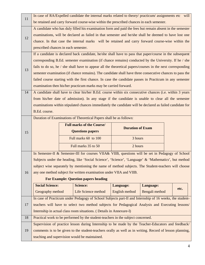| 11 | In case of RA/Expelled candidate the internal marks related to theory/ practicum/ assignments etc will |                                                                     |                                                                                                            |                |                |  |      |
|----|--------------------------------------------------------------------------------------------------------|---------------------------------------------------------------------|------------------------------------------------------------------------------------------------------------|----------------|----------------|--|------|
|    |                                                                                                        |                                                                     | be retained and carry forward course-wise within the prescribed chances in each semester.                  |                |                |  |      |
|    |                                                                                                        |                                                                     | A candidate who has duly filled his examination form and paid the fees but remain absent in the semester   |                |                |  |      |
| 12 | examinations, will be declared as failed in that semester and he/she shall be deemed to have lost one  |                                                                     |                                                                                                            |                |                |  |      |
|    |                                                                                                        |                                                                     | chance. In that case the internal marks will be retained and carry forward course-wise within the          |                |                |  |      |
|    | prescribed chances in each semester.                                                                   |                                                                     |                                                                                                            |                |                |  |      |
|    |                                                                                                        |                                                                     | If a candidate is declared back candidate, he/she shall have to pass that paper/course in the subsequent   |                |                |  |      |
|    |                                                                                                        |                                                                     | corresponding B.Ed. semester examination (if chance remains) conducted by the University. If he / she      |                |                |  |      |
| 13 |                                                                                                        |                                                                     | fails to do so, he / she shall have to appear all the theoretical papers/courses in the next corresponding |                |                |  |      |
|    |                                                                                                        |                                                                     | semester examination (if chance remains). The candidate shall have three consecutive chances to pass the   |                |                |  |      |
|    |                                                                                                        |                                                                     | failed course starting with the first chance. In case the candidate passes in Practicum in any semester    |                |                |  |      |
|    |                                                                                                        |                                                                     | examination then his/her practicum marks may be carried forward.                                           |                |                |  |      |
| 14 |                                                                                                        |                                                                     | A candidate shall have to clear his/her B.Ed. course within six consecutive chances (i.e. within 3 years   |                |                |  |      |
|    |                                                                                                        |                                                                     | from his/her date of admission). In any stage if the candidate is unable to clear all the semester         |                |                |  |      |
|    |                                                                                                        |                                                                     | examinations within stipulated chances immediately the candidate will be declared as failed candidate for  |                |                |  |      |
|    | B.Ed. course.                                                                                          |                                                                     |                                                                                                            |                |                |  |      |
|    |                                                                                                        | Duration of Examinations of Theoretical Papers shall be as follows: |                                                                                                            |                |                |  |      |
|    | <b>Full marks of the Course/</b>                                                                       |                                                                     | <b>Duration of Exam</b>                                                                                    |                |                |  |      |
|    |                                                                                                        |                                                                     |                                                                                                            |                |                |  |      |
| 15 |                                                                                                        |                                                                     | <b>Questions papers</b>                                                                                    |                |                |  |      |
|    |                                                                                                        |                                                                     | Full marks 60 to 100                                                                                       | 3 hours        |                |  |      |
|    |                                                                                                        |                                                                     | Full marks 35 to 50                                                                                        | 2 hours        |                |  |      |
|    |                                                                                                        |                                                                     | In Semester-II & Semester-III for courses VIIA& VIIB, questions will be set in Pedagogy of School          |                |                |  |      |
|    |                                                                                                        |                                                                     | Subjects under the heading, like 'Social Science', 'Science', 'Language' & 'Mathematics', but method       |                |                |  |      |
|    |                                                                                                        |                                                                     | subject wise separately by mentioning the name of method subjects. The Student-teachers will choose        |                |                |  |      |
| 16 |                                                                                                        |                                                                     | any one method subject for written examination under VIIA and VIIB.                                        |                |                |  |      |
|    |                                                                                                        |                                                                     | <b>For Example: Question papers heading</b>                                                                |                |                |  |      |
|    | <b>Social Science:</b>                                                                                 |                                                                     | <b>Science:</b>                                                                                            | Language:      | Language:      |  |      |
|    | Geography method                                                                                       |                                                                     | Life Science method                                                                                        | English method | Bengali method |  | etc. |
|    |                                                                                                        |                                                                     | In case of Practicum under Pedagogy of School Subjects part-II and Internship of 16 weeks, the student-    |                |                |  |      |
| 17 |                                                                                                        |                                                                     | teachers will have to select two method subjects for Pedagogical Analysis and Executing lessons/           |                |                |  |      |
|    |                                                                                                        |                                                                     | Internship in actual class room situations. (Details in Annexure-I)                                        |                |                |  |      |
| 18 |                                                                                                        |                                                                     | Practical work to be performed by the student-teachers in the subject concerned.                           |                |                |  |      |
|    |                                                                                                        |                                                                     | Supervision of practice lesson during Internship to be made by the Teacher-Educators and feedback/         |                |                |  |      |
| 19 |                                                                                                        |                                                                     | comments is to be given to the student-teachers orally as well as in writing. Record of lesson planning,   |                |                |  |      |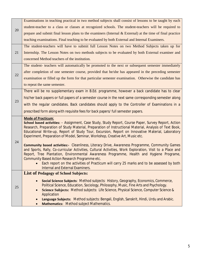|    | Examinations in teaching practical in two method subjects shall consist of lessons to be taught by each                                                                                                        |
|----|----------------------------------------------------------------------------------------------------------------------------------------------------------------------------------------------------------------|
| 20 | student-teacher to a class or classes at recognized schools. The student-teachers will be required to                                                                                                          |
|    | prepare and submit final lesson plans to the examiners (Internal & External) at the time of final practice                                                                                                     |
|    | teaching examinations. Final teaching to be evaluated by both External and Internal Examiners.                                                                                                                 |
|    | The student-teachers will have to submit full Lesson Notes on two Method Subjects taken up for                                                                                                                 |
| 21 | Internship. The Lesson Notes on two methods subjects to be evaluated by both External examiner and                                                                                                             |
|    | concerned Method teachers of the institution.                                                                                                                                                                  |
|    | The student- teachers will automatically be promoted to the next or subsequent semester immediately                                                                                                            |
| 22 | after completion of one semester course, provided that he/she has appeared in the preceding semester                                                                                                           |
|    | examination or filled up the form for that particular semester examination. Otherwise the candidate has                                                                                                        |
|    | to repeat the same semester.                                                                                                                                                                                   |
|    | There will be no supplementary exam in B.Ed. programme, however a back candidate has to clear                                                                                                                  |
|    | his/her back papers or full papers of a semester course in the next same corresponding semester along                                                                                                          |
| 23 | with the regular candidates. Back candidates should apply to the Controller of Examinations in a                                                                                                               |
|    | prescribed form along with requisite fees for back papers/ full semester papers.                                                                                                                               |
|    | <b>Mode of Practicum:</b>                                                                                                                                                                                      |
|    | School based activities: - Assignment, Case Study, Study Report, Course Paper, Survey Report, Action<br>Research, Preparation of Study Material, Preparation of Instructional Material, Analysis of Text Book, |
|    | Educational Write-up, Report of Study Tour, Excursion, Report on Innovative Material, Laboratory                                                                                                               |
|    | Experiment, Preparation of Model, Seminar, Workshop, Creative Art, Music etc.                                                                                                                                  |
| 24 | <b>Community based activities:-</b> Cleanliness, Literacy Drive, Awareness Programme, Community Games                                                                                                          |
|    | and Sports, Rally, Co-curricular Activities, Cultural Activities, Work Exploration, Visit to a Place and                                                                                                       |
|    | Report, Tree Plantation, Environmental Awareness Programme, Health and Hygiene Programe,                                                                                                                       |
|    | Community Based Action Research Programme etc.<br>Each report on the activities of Practicum will carry 25 marks and to be assessed by both<br>$\bullet$                                                       |
|    | Internal and External Examiners.                                                                                                                                                                               |
|    | <b>List of Pedagogy of School Subjects:</b>                                                                                                                                                                    |
|    | Social Science Subjects: Method subjects: History, Geography, Economics, Commerce,                                                                                                                             |
| 25 | Political Science, Education, Sociology, Philosophy, Music, Fine Arts and Psychology.                                                                                                                          |
|    | Science Subjects: Method subjects: Life Science, Physical Science, Computer Science &<br>$\bullet$                                                                                                             |
|    | Application<br>Language Subjects: Method subjects: Bengali, English, Sanskrit, Hindi, Urdu and Arabic.                                                                                                         |
|    | Mathematics: Method subject Mathematics.                                                                                                                                                                       |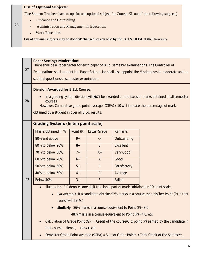## **List of Optional Subjects:**

(The Student-Teachers have to opt for one optional subject for Course-XI out of the following subjects)

- <sup>∑</sup> Guidance and Counselling.
- <sup>∑</sup> Administration and Management in Education.
- <sup>∑</sup> Work Education

26

**List of optional subjects may be decided/ changed session wise by the B.O.S.; B.Ed. of the University.** 

| 27 | <b>Paper Setting/ Moderation:</b><br>There shall be a Paper Setter for each paper of B.Ed. semester examinations. The Controller of<br>Examinations shall appoint the Paper Setters. He shall also appoint the Moderators to moderate and to<br>set final questions of semester examination.<br><b>Division Awarded for B.Ed. Course:</b> |           |                   |                                                                       |                                                                                                  |  |  |
|----|-------------------------------------------------------------------------------------------------------------------------------------------------------------------------------------------------------------------------------------------------------------------------------------------------------------------------------------------|-----------|-------------------|-----------------------------------------------------------------------|--------------------------------------------------------------------------------------------------|--|--|
| 28 | In a grading system division will <b>NOT</b> be awarded on the basis of marks obtained in all semester<br>courses.<br>However, Cumulative grade point average (CGPA) x 10 will indicate the percentage of marks<br>obtained by a student in over all B.Ed. results.                                                                       |           |                   |                                                                       |                                                                                                  |  |  |
|    | <b>Grading System: (In ten point scale)</b>                                                                                                                                                                                                                                                                                               |           |                   |                                                                       |                                                                                                  |  |  |
|    | Marks obtained in %                                                                                                                                                                                                                                                                                                                       | Point (P) | Letter Grade      | <b>Remarks</b>                                                        |                                                                                                  |  |  |
|    | 90% and above                                                                                                                                                                                                                                                                                                                             | $9+$      | $\overline{O}$    | Outstanding                                                           |                                                                                                  |  |  |
|    | 80% to below 90%                                                                                                                                                                                                                                                                                                                          | $8+$      | $\mathsf{S}$      | <b>Excellent</b>                                                      |                                                                                                  |  |  |
|    | 70% to below 80%                                                                                                                                                                                                                                                                                                                          | $7+$      | $A+$              | <b>Very Good</b>                                                      |                                                                                                  |  |  |
|    | 60% to below 70%                                                                                                                                                                                                                                                                                                                          | $6+$      | $\overline{A}$    | Good                                                                  |                                                                                                  |  |  |
|    | 50% to below 60%                                                                                                                                                                                                                                                                                                                          | $5+$      | B                 | Satisfactory                                                          |                                                                                                  |  |  |
|    | 40% to below 50%                                                                                                                                                                                                                                                                                                                          | $4+$      | $\mathcal{C}$     | Average                                                               |                                                                                                  |  |  |
| 29 | Below 40%                                                                                                                                                                                                                                                                                                                                 | $3+$      | F                 | Failed                                                                |                                                                                                  |  |  |
|    | Illustration: "+" denotes one digit fractional part of marks obtained in 10 point scale.<br>$\bullet$                                                                                                                                                                                                                                     |           |                   |                                                                       |                                                                                                  |  |  |
|    | For example: If a candidate obtains 92% marks in a course then his/her Point $(P)$ in that                                                                                                                                                                                                                                                |           |                   |                                                                       |                                                                                                  |  |  |
|    | course will be 9.2.                                                                                                                                                                                                                                                                                                                       |           |                   |                                                                       |                                                                                                  |  |  |
|    |                                                                                                                                                                                                                                                                                                                                           |           |                   | <b>Similarly,</b> 86% marks in a course equivalent to Point (P)= 8.6, |                                                                                                  |  |  |
|    |                                                                                                                                                                                                                                                                                                                                           |           |                   | 48% marks in a course equivalent to Point (P)= 4.8, etc.              |                                                                                                  |  |  |
|    |                                                                                                                                                                                                                                                                                                                                           |           |                   |                                                                       | Calculation of Grade Point (GP) = Credit of the course(C) x point (P) earned by the candidate in |  |  |
|    | that course. Hence,                                                                                                                                                                                                                                                                                                                       |           | $GP = C \times P$ |                                                                       |                                                                                                  |  |  |
|    | Semester Grade Point Average (SGPA) = Sum of Grade Points $\div$ Total Credit of the Semester.                                                                                                                                                                                                                                            |           |                   |                                                                       |                                                                                                  |  |  |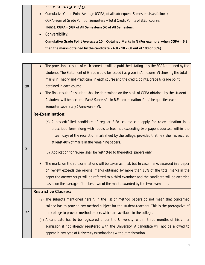Hence, **SGPA = ∑C x P / ∑C.** 

|  | then the marks obtained by the candidate = $6.8 \times 10 = 68$ out of 100 or 68%)       |
|--|------------------------------------------------------------------------------------------|
|  | Cumulative Grade Point Average x 10 = Obtained Marks in % (For example, when CGPA = 6.8, |
|  | • Convertibility:                                                                        |
|  | Hence, CGPA = $\Sigma$ GP of All Semesters/ $\Sigma$ C of All Semesters.                 |
|  | CGPA=Sum of Grade Point of Semesters ÷ Total Credit Points of B.Ed. course.              |
|  | • Cumulative Grade Point Average (CGPA) of all subsequent Semesters is as follows:       |
|  |                                                                                          |

| The provisional results of each semester will be published stating only the SGPA obtained by the |
|--------------------------------------------------------------------------------------------------|
| students. The Statement of Grade would be issued (as given in Annexure IV) showing the total     |
| marks in Theory and Practicum in each course and the credit, points, grade & grade point         |
| obtained in each course.                                                                         |
| The final result of a student shall be determined on the basis of CGPA obtained by the student.  |
| A student will be declared Pass/ Successful in B.Ed. examination if he/she qualifies each        |
| Semester separately (Annexure - V).                                                              |
| <b>Re-Examination:</b>                                                                           |
| (a) A passed/failed candidate of regular B.Ed. course can apply for re-examination in a          |
| prescribed form along with requisite fees not exceeding two papers/courses, within the           |
| fifteen days of the receipt of mark sheet by the college, provided that he / she has secured     |
| at least 40% of marks in the remaining papers.                                                   |
|                                                                                                  |
| (b) Application for review shall be restricted to theoretical papers only.                       |
| The marks on the re-examinations will be taken as final, but In case marks awarded in a paper    |
| on review exceeds the original marks obtained by more than 15% of the total marks in the         |
| paper the answer script will be referred to a third examiner and the candidate will be awarded   |
| based on the average of the best two of the marks awarded by the two examiners.                  |
| <b>Restrictive Clauses:</b>                                                                      |
| (a) The subjects mentioned herein, in the list of method papers do not mean that concerned       |
| college has to provide any method subject for the student-teachers. This is the prerogative of   |
| the college to provide method papers which are available in the college.                         |
| (b) A candidate has to be registered under the University, within three months of his / her      |
| admission if not already registered with the University. A candidate will not be allowed to      |
| appear in any type of University examinations without registration.                              |
|                                                                                                  |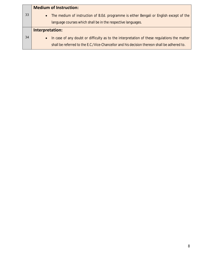|    | <b>Medium of Instruction:</b>                                                                                                                                                                           |
|----|---------------------------------------------------------------------------------------------------------------------------------------------------------------------------------------------------------|
| 33 | The medium of instruction of B.Ed. programme is either Bengali or English except of the<br>$\bullet$                                                                                                    |
|    | language courses which shall be in the respective languages.                                                                                                                                            |
|    | Interpretation:                                                                                                                                                                                         |
| 34 | In case of any doubt or difficulty as to the interpretation of these regulations the matter<br>$\bullet$<br>shall be referred to the E.C./Vice-Chancellor and his decision thereon shall be adhered to. |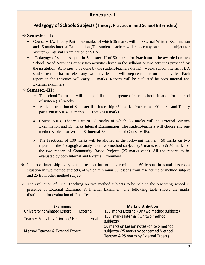# **Annexure- I**

# **Pedagogy of Schools Subjects (Theory, Practicum and School Internship)**

## v **Semester- II:**

- Course VIIA, Theory Part of 50 marks, of which 35 marks will be External Written Examination and 15 marks Internal Examination (The student-teachers will choose any one method subject for Written & Internal Examination of VIIA).
- ∑ Pedagogy of school subject in Semester- II of 50 marks for Practicum to be awarded on two School Based Activities or any two activities listed in the syllabus or two activities provided by the institution (Activities to be done by the student-teachers during 4 weeks school internship). A student-teacher has to select any two activities and will prepare reports on the activities. Each report on the activities will carry 25 marks. Reports will be evaluated by both Internal and External examiners.

# v **Semester-III:**

- $\triangleright$  The school Internship will include full time engagement in real school situation for a period of sixteen (16) weeks.
- Marks distribution of Semester-III: Internship-350 marks, Practicum- 100 marks and Theory part Course VIIB- 50 marks. Total- 500 marks.
- Course VIIB, Theory Part of 50 marks of which 35 marks will be External Written Examination and 15 marks Internal Examination (The student-teachers will choose any one method subject for Written & Internal Examination of Course VIIB).
- $\triangleright$  The Practicum of 100 marks will be allotted in the following manner: 50 marks on two reports of the Pedagogical analysis on two method subjects (25 marks each) & 50 marks on the two reports of Community Based Projects (25 marks each). All the reports to be evaluated by both Internal and External Examiners.
- $\cdot$  In school Internship every student-teacher has to deliver minimum 60 lessons in actual classroom situation in two method subjects, of which minimum 35 lessons from his/ her major method subject and 25 from other method subject.
- $\hat{\cdot}$  The evaluation of Final Teaching on two method subjects to be held in the practicing school in presence of External Examiner & Internal Examiner. The following table shows the marks distribution for evaluation of Final Teaching:

| <b>Examiners</b>                            | <b>Marks distribution</b>                   |  |
|---------------------------------------------|---------------------------------------------|--|
| University nominated Expert :<br>External   | 150 marks External (On two method subjects) |  |
| Teacher-Educator/ Principal/ Head: Internal | 150 marks Internal (On two method           |  |
|                                             | subjects)                                   |  |
|                                             | 50 marks on Lesson notes (on two method     |  |
| <b>Method Teacher &amp; External Expert</b> | subjects) {25 marks by concerned Method     |  |
|                                             | Teacher & 25 marks by External Expert}      |  |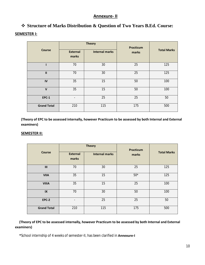#### **Annexure- II**

# v **Structure of Marks Distribution & Question of Two Years B.Ed. Course:**

#### **SEMESTER I:**

|                    |                          | <b>Theory</b>         | <b>Practicum</b> | <b>Total Marks</b> |  |
|--------------------|--------------------------|-----------------------|------------------|--------------------|--|
| <b>Course</b>      | <b>External</b><br>marks | <b>Internal marks</b> | marks            |                    |  |
| ı                  | 70                       | 30                    | 25               | 125                |  |
| $\mathbf{H}$       | 70                       | 30                    | 25               | 125                |  |
| IV                 | 35                       | 15                    | 50               | 100                |  |
| $\mathbf v$        | 35                       | 15                    | 50               | 100                |  |
| <b>EPC-1</b>       |                          | 25                    | 25               | 50                 |  |
| <b>Grand Total</b> | 210                      | 115                   | 175              | 500                |  |

**(Theory of EPC to be assessed internally, however Practicum to be assessed by both Internal and External examiners)**

#### **SEMESTER II:**

|                        | <b>Theory</b>            |                       | Practicum |                    |  |
|------------------------|--------------------------|-----------------------|-----------|--------------------|--|
| <b>Course</b>          | <b>External</b><br>marks | <b>Internal marks</b> | marks     | <b>Total Marks</b> |  |
| III                    | 70                       | 30                    | 25        | 125                |  |
| <b>VIIA</b>            | 35                       | 15                    | $50*$     | 125                |  |
| <b>VIIIA</b>           | 35                       | 15                    | 25        | 100                |  |
| $\mathsf{I}\mathsf{X}$ | 70                       | 30                    | 50        | 100                |  |
| <b>EPC-2</b>           | $\overline{\phantom{0}}$ | 25                    | 25        | 50                 |  |
| <b>Grand Total</b>     | 210                      | 115                   | 175       | 500                |  |

#### **(Theory of EPC to be assessed internally, however Practicum to be assessed by both Internal and External examiners)**

**\***School internship of 4 weeks of semester-II, has been clarified in **Annexure-I**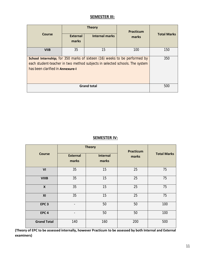#### **SEMESTER III:**

|                                                                                                                                                                                                            |                          | <b>Theory</b>         | Practicum |                    |  |
|------------------------------------------------------------------------------------------------------------------------------------------------------------------------------------------------------------|--------------------------|-----------------------|-----------|--------------------|--|
| Course                                                                                                                                                                                                     | <b>External</b><br>marks | <b>Internal marks</b> | marks     | <b>Total Marks</b> |  |
| <b>VIIB</b>                                                                                                                                                                                                | 35                       | 15                    | 100       | 150                |  |
| <b>School Internship;</b> for 350 marks of sixteen (16) weeks to be performed by<br>each student-teacher in two method subjects in selected schools. The system<br>has been clarified in <b>Annexure-I</b> |                          |                       |           | 350                |  |
|                                                                                                                                                                                                            | 500                      |                       |           |                    |  |

#### **SEMESTER IV:**

|                           |                          | <b>Theory</b>     | <b>Practicum</b> | <b>Total Marks</b> |  |
|---------------------------|--------------------------|-------------------|------------------|--------------------|--|
| <b>Course</b>             | <b>External</b><br>marks | Internal<br>marks | marks            |                    |  |
| VI                        | 35                       | 15                | 25               | 75                 |  |
| <b>VIIIB</b>              | 35                       | 15                | 25               | 75                 |  |
| $\boldsymbol{\mathsf{X}}$ | 35                       | 15                | 25               | 75                 |  |
| XI                        | 35                       | 15                | 25               | 75                 |  |
| EPC <sub>3</sub>          | $\overline{\phantom{a}}$ | 50                | 50               | 100                |  |
| EPC <sub>4</sub>          | ۰                        | 50                | 50               | 100                |  |
| <b>Grand Total</b>        | 140                      | 160               | 200              | 500                |  |

**(Theory of EPC to be assessed internally, however Practicum to be assessed by both Internal and External examiners)**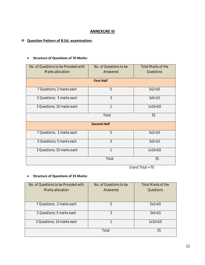#### **ANNEXURE III**

#### v **Question Pattern of B.Ed. examination:**

#### ∑ **Structure of Questions of 70 Marks:**

| No. of Questions to be Provided with<br><b>Marks allocation</b> | No. of Questions to be<br>Answered | <b>Total Marks of the</b><br>Questions |  |  |  |  |  |  |
|-----------------------------------------------------------------|------------------------------------|----------------------------------------|--|--|--|--|--|--|
| <b>First Half</b>                                               |                                    |                                        |  |  |  |  |  |  |
| 7 Questions; 2 marks each                                       | 5                                  | $5x2=10$                               |  |  |  |  |  |  |
| 5 Questions; 5 marks each                                       | 3                                  | $3x5=15$                               |  |  |  |  |  |  |
| 3 Questions; 10 marks each                                      | 1                                  | $1x10=10$                              |  |  |  |  |  |  |
|                                                                 | Total                              | 35                                     |  |  |  |  |  |  |
|                                                                 | <b>Second Half</b>                 |                                        |  |  |  |  |  |  |
| 7 Questions; 2 marks each                                       | 5                                  | $5x2=10$                               |  |  |  |  |  |  |
| 5 Questions; 5 marks each                                       | 3                                  | $3x5=15$                               |  |  |  |  |  |  |
| 3 Questions; 10 marks each                                      | 1                                  | $1x10=10$                              |  |  |  |  |  |  |
|                                                                 | Total                              | 35                                     |  |  |  |  |  |  |

Grand Total = 70

#### ∑ **Structure of Questions of 35 Marks:**

| No. of Questions to be Provided with | No. of Questions to be | <b>Total Marks of the</b> |
|--------------------------------------|------------------------|---------------------------|
| Marks allocation                     | Answered               | Questions                 |
|                                      |                        |                           |
| 7 Questions; 2 marks each            | 5                      | $5x2=10$                  |
| 5 Questions; 5 marks each            | 3                      | $3x5=15$                  |
| 3 Questions; 10 marks each           |                        | $1x10=10$                 |
|                                      | Total                  | 35                        |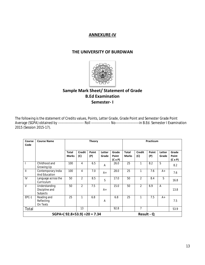#### **ANNEXURE-IV**

#### **THE UNIVERSITY OF BURDWAN**



# **Sample Mark Sheet/ Statement of Grade B.Ed Examination Semester- I**

The following is the statement of Credits values, Points, Letter Grade, Grade Point and Semester Grade Point Average (SGPA) obtained by ----------------------- Roll ----------------- No---------------------in B.Ed. Semester I Examination 2015 (Session 2015-17).

| Course<br>Code | <b>Course Name</b>                          | <b>Theory</b>                |                      |              |                 | Practicum                        |                              |                      |                   |                 |                                  |
|----------------|---------------------------------------------|------------------------------|----------------------|--------------|-----------------|----------------------------------|------------------------------|----------------------|-------------------|-----------------|----------------------------------|
|                |                                             | <b>Total</b><br><b>Marks</b> | <b>Credit</b><br>(C) | Point<br>(P) | Letter<br>Grade | Grade<br>Point<br>$(C \times P)$ | <b>Total</b><br><b>Marks</b> | <b>Credit</b><br>(C) | Point<br>(P)      | Letter<br>Grade | Grade<br>Point<br>$(C \times P)$ |
| $\mathbf{I}$   | Childhood and<br>Growing Up                 | 100                          | 4                    | 6.5          | A               | 26.0                             | 25                           | 1                    | 8.2               | S               | 8.2                              |
| $\mathbf{I}$   | Contemporary India<br><b>And Education</b>  | 100                          | 4                    | 7.0          | A+              | 28.0                             | 25                           | 1                    | 7.6               | $A+$            | 7.6                              |
| IV             | Language across the<br>Curriculum           | 50                           | $\overline{2}$       | 8.5          | $\mathsf S$     | 17.0                             | 50                           | $\overline{2}$       | 8.4               | S               | 16.8                             |
| $\vee$         | Understanding<br>Discipline and<br>Subjects | 50                           | 2                    | 7.5          | A+              | 15.0                             | 50                           | $\overline{2}$       | 6.9               | $\overline{A}$  | 13.8                             |
| EPC-1          | Reading and<br>Reflecting<br>On Texts       | 25                           | 1                    | 6.8          | Α               | 6.8                              | 25                           | 1                    | 7.5               | $A+$            | 7.5                              |
| Total          |                                             |                              | 13                   |              |                 | 92.8                             |                              | $\overline{7}$       |                   |                 | 53.9                             |
|                | SGPA= $(92.8+53.9) \div 20 = 7.34$          |                              |                      |              |                 |                                  |                              |                      | <b>Result - Q</b> |                 |                                  |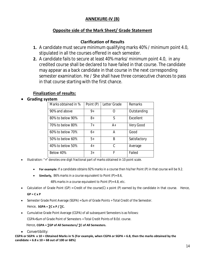# **ANNEXURE-IV (B)**

# **Opposite side of the Mark Sheet/ Grade Statement**

## **Clarification of Results**

- **1.** A candidate must secure minimum qualifying marks 40% / minimum point 4.0, stipulated in all the courses offered in each semester.
- **2.** A candidate fails to secure at least 40% marks/ minimum point 4.0, in any credited course shall be declared to have failed in that course. The candidate may appear as a back candidate in that course in the next corresponding semester examination. He / She shall have three consecutive chances to pass in that course starting with the first chance.

# **Finalization of results:**

#### ∑ **Grading system**

| Marks obtained in % | Point (P) | Letter Grade | Remarks      |
|---------------------|-----------|--------------|--------------|
| 90% and above       | $9+$      | Ω            | Outstanding  |
| 80% to below 90%    | 8+        | S            | Excellent    |
| 70% to below 80%    | $7+$      | $A+$         | Very Good    |
| 60% to below 70%    | 6+        | А            | Good         |
| 50% to below 60%    | $5+$      | B            | Satisfactory |
| 40% to below 50%    | $4+$      | C            | Average      |
| Below 40%           | $3+$      | F            | Failed       |

- Illustration: "+" denotes one digit fractional part of marks obtained in 10 point scale.
	- ∑ **For example:** If a candidate obtains 92% marks in a course then his/her Point (P) in that course will be 9.2.
	- ∑ **Similarly,** 86% marks in a course equivalent to Point (P)= 8.6,

48% marks in a course equivalent to Point (P)= 4.8, etc.

■ Calculation of Grade Point (GP) = Credit of the course(C) x point (P) earned by the candidate in that course. Hence,

**GP = C x P**

- ∑ Semester Grade Point Average (SGPA) = Sum of Grade Points ÷ Total Credit of the Semester.
	- Hence, **SGPA = ∑C x P / ∑C.**
- ∑ Cumulative Grade Point Average (CGPA) of all subsequent Semesters is as follows:

CGPA=Sum of Grade Point of Semesters ÷ Total Credit Points of B.Ed. course.

#### Hence, **CGPA = ∑GP of All Semesters/ ∑C of All Semesters.**

● Convertibility:

**CGPA or SGPA x 10 = Obtained Marks in % (For example, when CGPA or SGPA = 6.8, then the marks obtained by the candidate = 6.8 x 10 = 68 out of 100 or 68%)**